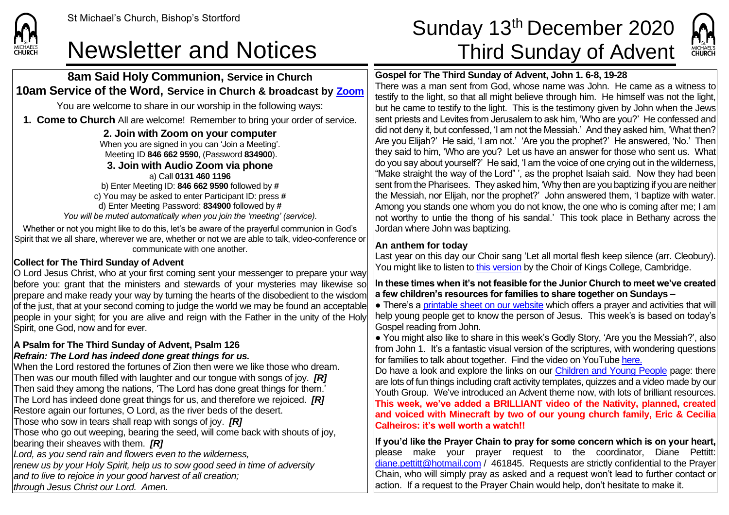

**8am Said Holy Communion, Service in Church 10am Service of the Word, Service in Church & broadcast by [Zoom](https://zoom.us/)** You are welcome to share in our worship in the following ways:

**1. Come to Church** All are welcome! Remember to bring your order of service.

**2. Join with Zoom on your computer** When you are signed in you can 'Join a Meeting'. Meeting ID **846 662 9590**, (Password **834900**). **3. Join with Audio Zoom via phone**  a) Call **0131 460 1196** b) Enter Meeting ID: **846 662 9590** followed by **#** c) You may be asked to enter Participant ID: press **#** d) Enter Meeting Password: **834900** followed by **#** *You will be muted automatically when you join the 'meeting' (service).*

Whether or not you might like to do this, let's be aware of the prayerful communion in God's Spirit that we all share, wherever we are, whether or not we are able to talk, video-conference or communicate with one another.

### **Collect for The Third Sunday of Advent**

O Lord Jesus Christ, who at your first coming sent your messenger to prepare your way before you: grant that the ministers and stewards of your mysteries may likewise so prepare and make ready your way by turning the hearts of the disobedient to the wisdom of the just, that at your second coming to judge the world we may be found an acceptable people in your sight; for you are alive and reign with the Father in the unity of the Holy Spirit, one God, now and for ever.

#### **A Psalm for The Third Sunday of Advent, Psalm 126** *Refrain: The Lord has indeed done great things for us.*

When the Lord restored the fortunes of Zion then were we like those who dream. Then was our mouth filled with laughter and our tongue with songs of joy. *[R]* Then said they among the nations, 'The Lord has done great things for them.' The Lord has indeed done great things for us, and therefore we rejoiced. *[R]* Restore again our fortunes, O Lord, as the river beds of the desert. Those who sow in tears shall reap with songs of joy. *[R]* Those who go out weeping, bearing the seed, will come back with shouts of joy, bearing their sheaves with them. *[R] Lord, as you send rain and flowers even to the wilderness, renew us by your Holy Spirit, help us to sow good seed in time of adversity*

*and to live to rejoice in your good harvest of all creation;*

*through Jesus Christ our Lord. Amen.*

# St Michael's Church, Bishop's Stortford **Sunday 13<sup>th</sup> December 2020** Newsletter and Notices Third Sunday of Advent



### **Gospel for The Third Sunday of Advent, John 1. 6-8, 19-28**

There was a man sent from God, whose name was John. He came as a witness to testify to the light, so that all might believe through him. He himself was not the light, but he came to testify to the light. This is the testimony given by John when the Jews sent priests and Levites from Jerusalem to ask him, 'Who are you?' He confessed and did not deny it, but confessed, 'I am not the Messiah.' And they asked him, 'What then? Are you Elijah?' He said, 'I am not.' 'Are you the prophet?' He answered, 'No.' Then they said to him, 'Who are you? Let us have an answer for those who sent us. What do you say about yourself?' He said, 'I am the voice of one crying out in the wilderness, "Make straight the way of the Lord" ', as the prophet Isaiah said. Now they had been sent from the Pharisees. They asked him, 'Why then are you baptizing if you are neither the Messiah, nor Elijah, nor the prophet?' John answered them, 'I baptize with water. Among you stands one whom you do not know, the one who is coming after me; I am not worthy to untie the thong of his sandal.' This took place in Bethany across the Jordan where John was baptizing.

#### **An anthem for today**

Last year on this day our Choir sang 'Let all mortal flesh keep silence (arr. Cleobury). You might like to listen to [this version](https://www.youtube.com/watch?v=pNdtO-UT3-U) by the Choir of Kings College, Cambridge.

**In these times when it's not feasible for the Junior Church to meet we've created a few children's resources for families to share together on Sundays –**

 $\bullet$  There's a [printable sheet on our website](https://saintmichaelweb.org.uk/Groups/310496/Children_and_Young.aspx) which offers a prayer and activities that will help young people get to know the person of Jesus. This week's is based on today's Gospel reading from John.

● You might also like to share in this week's Godly Story, 'Are you the Messiah?', also from John 1. It's a fantastic visual version of the scriptures, with wondering questions for families to talk about together. Find the video on YouTube [here.](https://www.youtube.com/watch?v=B2ei8nIhgFs)

Do have a look and explore the links on our [Children and Young People](https://saintmichaelweb.org.uk/Groups/310496/Children_and_Young.aspx) page: there are lots of fun things including craft activity templates, quizzes and a video made by our Youth Group. We've introduced an Advent theme now, with lots of brilliant resources. **This week, we've added a BRILLIANT video of the Nativity, planned, created and voiced with Minecraft by two of our young church family, Eric & Cecilia Calheiros: it's well worth a watch!!**

**If you'd like the Prayer Chain to pray for some concern which is on your heart,** please make your prayer request to the coordinator, Diane Pettitt: [diane.pettitt@hotmail.com](mailto:diane.pettitt@hotmail.com) / 461845. Requests are strictly confidential to the Prayer Chain, who will simply pray as asked and a request won't lead to further contact or action. If a request to the Prayer Chain would help, don't hesitate to make it.